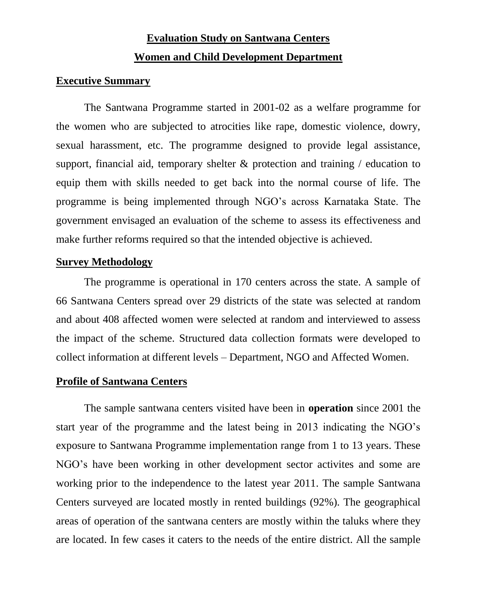# **Evaluation Study on Santwana Centers Women and Child Development Department**

#### **Executive Summary**

The Santwana Programme started in 2001-02 as a welfare programme for the women who are subjected to atrocities like rape, domestic violence, dowry, sexual harassment, etc. The programme designed to provide legal assistance, support, financial aid, temporary shelter & protection and training / education to equip them with skills needed to get back into the normal course of life. The programme is being implemented through NGO's across Karnataka State. The government envisaged an evaluation of the scheme to assess its effectiveness and make further reforms required so that the intended objective is achieved.

#### **Survey Methodology**

The programme is operational in 170 centers across the state. A sample of 66 Santwana Centers spread over 29 districts of the state was selected at random and about 408 affected women were selected at random and interviewed to assess the impact of the scheme. Structured data collection formats were developed to collect information at different levels – Department, NGO and Affected Women.

#### **Profile of Santwana Centers**

The sample santwana centers visited have been in **operation** since 2001 the start year of the programme and the latest being in 2013 indicating the NGO's exposure to Santwana Programme implementation range from 1 to 13 years. These NGO's have been working in other development sector activites and some are working prior to the independence to the latest year 2011. The sample Santwana Centers surveyed are located mostly in rented buildings (92%). The geographical areas of operation of the santwana centers are mostly within the taluks where they are located. In few cases it caters to the needs of the entire district. All the sample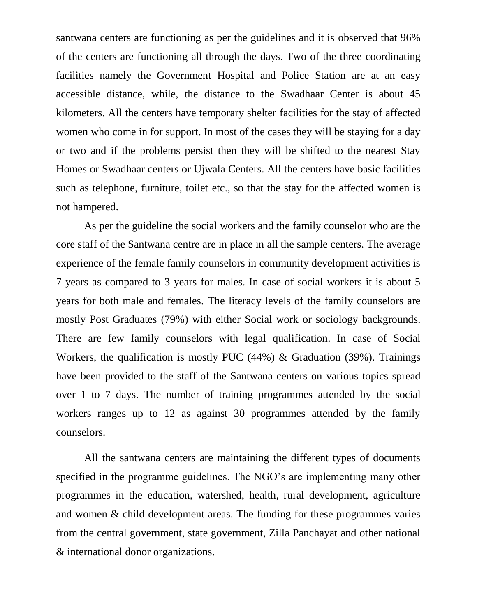santwana centers are functioning as per the guidelines and it is observed that 96% of the centers are functioning all through the days. Two of the three coordinating facilities namely the Government Hospital and Police Station are at an easy accessible distance, while, the distance to the Swadhaar Center is about 45 kilometers. All the centers have temporary shelter facilities for the stay of affected women who come in for support. In most of the cases they will be staying for a day or two and if the problems persist then they will be shifted to the nearest Stay Homes or Swadhaar centers or Ujwala Centers. All the centers have basic facilities such as telephone, furniture, toilet etc., so that the stay for the affected women is not hampered.

As per the guideline the social workers and the family counselor who are the core staff of the Santwana centre are in place in all the sample centers. The average experience of the female family counselors in community development activities is 7 years as compared to 3 years for males. In case of social workers it is about 5 years for both male and females. The literacy levels of the family counselors are mostly Post Graduates (79%) with either Social work or sociology backgrounds. There are few family counselors with legal qualification. In case of Social Workers, the qualification is mostly PUC (44%) & Graduation (39%). Trainings have been provided to the staff of the Santwana centers on various topics spread over 1 to 7 days. The number of training programmes attended by the social workers ranges up to 12 as against 30 programmes attended by the family counselors.

All the santwana centers are maintaining the different types of documents specified in the programme guidelines. The NGO's are implementing many other programmes in the education, watershed, health, rural development, agriculture and women & child development areas. The funding for these programmes varies from the central government, state government, Zilla Panchayat and other national & international donor organizations.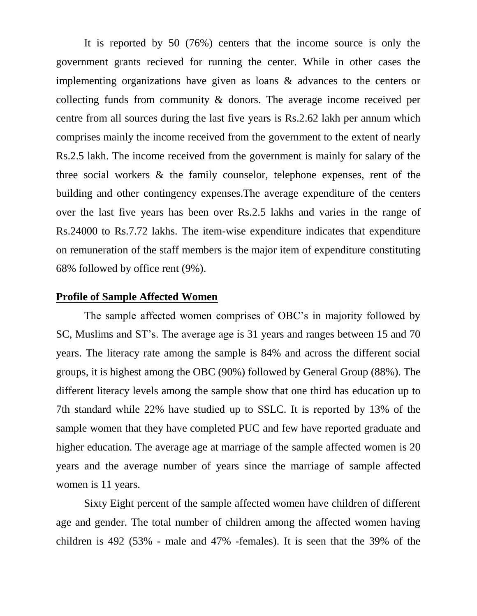It is reported by 50 (76%) centers that the income source is only the government grants recieved for running the center. While in other cases the implementing organizations have given as loans & advances to the centers or collecting funds from community & donors. The average income received per centre from all sources during the last five years is Rs.2.62 lakh per annum which comprises mainly the income received from the government to the extent of nearly Rs.2.5 lakh. The income received from the government is mainly for salary of the three social workers & the family counselor, telephone expenses, rent of the building and other contingency expenses.The average expenditure of the centers over the last five years has been over Rs.2.5 lakhs and varies in the range of Rs.24000 to Rs.7.72 lakhs. The item-wise expenditure indicates that expenditure on remuneration of the staff members is the major item of expenditure constituting 68% followed by office rent (9%).

#### **Profile of Sample Affected Women**

The sample affected women comprises of OBC's in majority followed by SC, Muslims and ST's. The average age is 31 years and ranges between 15 and 70 years. The literacy rate among the sample is 84% and across the different social groups, it is highest among the OBC (90%) followed by General Group (88%). The different literacy levels among the sample show that one third has education up to 7th standard while 22% have studied up to SSLC. It is reported by 13% of the sample women that they have completed PUC and few have reported graduate and higher education. The average age at marriage of the sample affected women is 20 years and the average number of years since the marriage of sample affected women is 11 years.

Sixty Eight percent of the sample affected women have children of different age and gender. The total number of children among the affected women having children is 492 (53% - male and 47% -females). It is seen that the 39% of the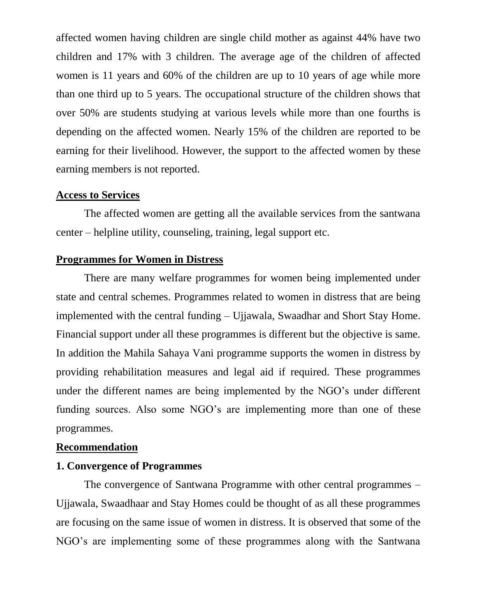affected women having children are single child mother as against 44% have two children and 17% with 3 children. The average age of the children of affected women is 11 years and 60% of the children are up to 10 years of age while more than one third up to 5 years. The occupational structure of the children shows that over 50% are students studying at various levels while more than one fourths is depending on the affected women. Nearly 15% of the children are reported to be earning for their livelihood. However, the support to the affected women by these earning members is not reported.

#### **Access to Services**

The affected women are getting all the available services from the santwana center – helpline utility, counseling, training, legal support etc.

#### **Programmes for Women in Distress**

There are many welfare programmes for women being implemented under state and central schemes. Programmes related to women in distress that are being implemented with the central funding – Ujjawala, Swaadhar and Short Stay Home. Financial support under all these programmes is different but the objective is same. In addition the Mahila Sahaya Vani programme supports the women in distress by providing rehabilitation measures and legal aid if required. These programmes under the different names are being implemented by the NGO's under different funding sources. Also some NGO's are implementing more than one of these programmes.

#### **Recommendation**

#### **1. Convergence of Programmes**

The convergence of Santwana Programme with other central programmes – Ujjawala, Swaadhaar and Stay Homes could be thought of as all these programmes are focusing on the same issue of women in distress. It is observed that some of the NGO's are implementing some of these programmes along with the Santwana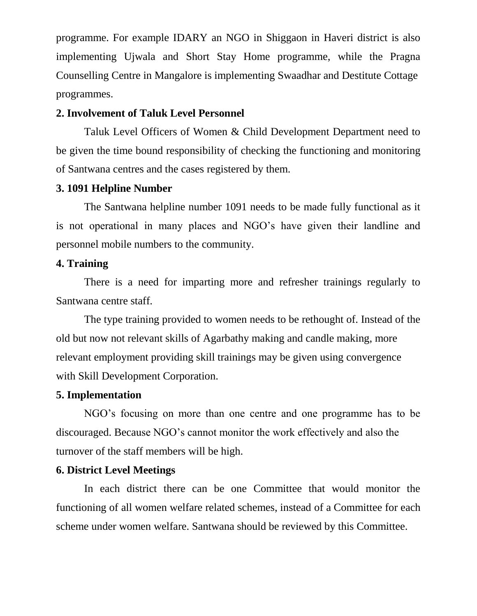programme. For example IDARY an NGO in Shiggaon in Haveri district is also implementing Ujwala and Short Stay Home programme, while the Pragna Counselling Centre in Mangalore is implementing Swaadhar and Destitute Cottage programmes.

#### **2. Involvement of Taluk Level Personnel**

Taluk Level Officers of Women & Child Development Department need to be given the time bound responsibility of checking the functioning and monitoring of Santwana centres and the cases registered by them.

#### **3. 1091 Helpline Number**

The Santwana helpline number 1091 needs to be made fully functional as it is not operational in many places and NGO's have given their landline and personnel mobile numbers to the community.

#### **4. Training**

There is a need for imparting more and refresher trainings regularly to Santwana centre staff.

The type training provided to women needs to be rethought of. Instead of the old but now not relevant skills of Agarbathy making and candle making, more relevant employment providing skill trainings may be given using convergence with Skill Development Corporation.

#### **5. Implementation**

NGO's focusing on more than one centre and one programme has to be discouraged. Because NGO's cannot monitor the work effectively and also the turnover of the staff members will be high.

#### **6. District Level Meetings**

In each district there can be one Committee that would monitor the functioning of all women welfare related schemes, instead of a Committee for each scheme under women welfare. Santwana should be reviewed by this Committee.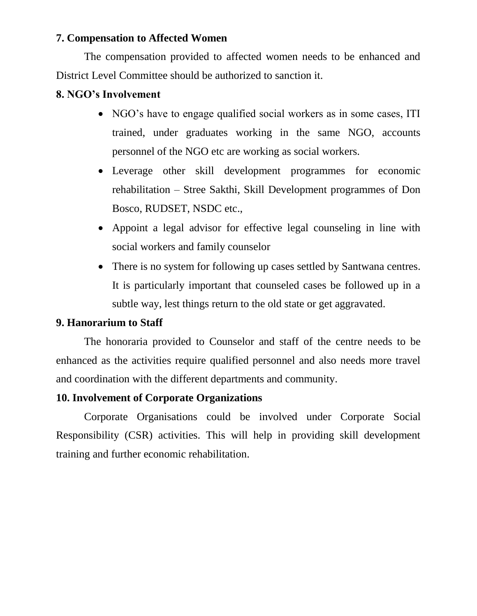#### **7. Compensation to Affected Women**

The compensation provided to affected women needs to be enhanced and District Level Committee should be authorized to sanction it.

#### **8. NGO's Involvement**

- NGO's have to engage qualified social workers as in some cases, ITI trained, under graduates working in the same NGO, accounts personnel of the NGO etc are working as social workers.
- Leverage other skill development programmes for economic rehabilitation – Stree Sakthi, Skill Development programmes of Don Bosco, RUDSET, NSDC etc.,
- Appoint a legal advisor for effective legal counseling in line with social workers and family counselor
- There is no system for following up cases settled by Santwana centres. It is particularly important that counseled cases be followed up in a subtle way, lest things return to the old state or get aggravated.

### **9. Hanorarium to Staff**

The honoraria provided to Counselor and staff of the centre needs to be enhanced as the activities require qualified personnel and also needs more travel and coordination with the different departments and community.

#### **10. Involvement of Corporate Organizations**

Corporate Organisations could be involved under Corporate Social Responsibility (CSR) activities. This will help in providing skill development training and further economic rehabilitation.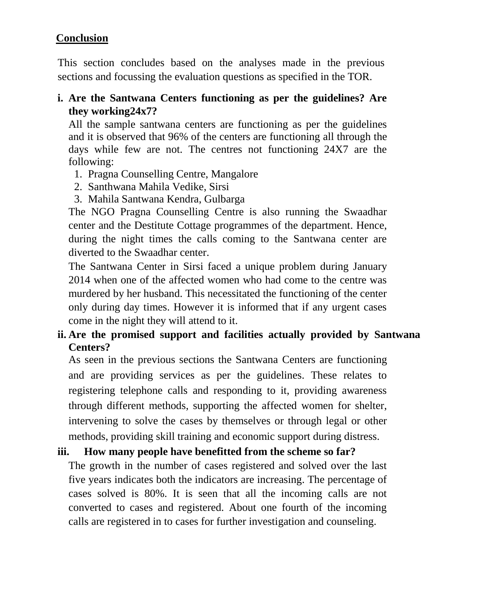### **Conclusion**

This section concludes based on the analyses made in the previous sections and focussing the evaluation questions as specified in the TOR.

### **i. Are the Santwana Centers functioning as per the guidelines? Are they working24x7?**

All the sample santwana centers are functioning as per the guidelines and it is observed that 96% of the centers are functioning all through the days while few are not. The centres not functioning 24X7 are the following:

- 1. Pragna Counselling Centre, Mangalore
- 2. Santhwana Mahila Vedike, Sirsi
- 3. Mahila Santwana Kendra, Gulbarga

The NGO Pragna Counselling Centre is also running the Swaadhar center and the Destitute Cottage programmes of the department. Hence, during the night times the calls coming to the Santwana center are diverted to the Swaadhar center.

The Santwana Center in Sirsi faced a unique problem during January 2014 when one of the affected women who had come to the centre was murdered by her husband. This necessitated the functioning of the center only during day times. However it is informed that if any urgent cases come in the night they will attend to it.

# **ii. Are the promised support and facilities actually provided by Santwana Centers?**

As seen in the previous sections the Santwana Centers are functioning and are providing services as per the guidelines. These relates to registering telephone calls and responding to it, providing awareness through different methods, supporting the affected women for shelter, intervening to solve the cases by themselves or through legal or other methods, providing skill training and economic support during distress.

# **iii. How many people have benefitted from the scheme so far?**

The growth in the number of cases registered and solved over the last five years indicates both the indicators are increasing. The percentage of cases solved is 80%. It is seen that all the incoming calls are not converted to cases and registered. About one fourth of the incoming calls are registered in to cases for further investigation and counseling.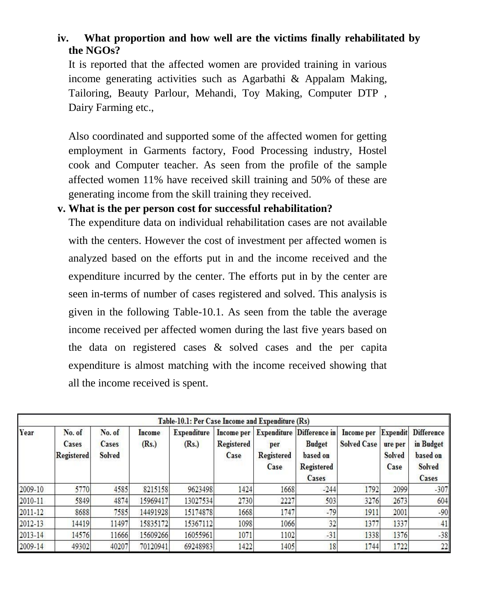# **iv. What proportion and how well are the victims finally rehabilitated by the NGOs?**

It is reported that the affected women are provided training in various income generating activities such as Agarbathi & Appalam Making, Tailoring, Beauty Parlour, Mehandi, Toy Making, Computer DTP , Dairy Farming etc.,

Also coordinated and supported some of the affected women for getting employment in Garments factory, Food Processing industry, Hostel cook and Computer teacher. As seen from the profile of the sample affected women 11% have received skill training and 50% of these are generating income from the skill training they received.

#### **v. What is the per person cost for successful rehabilitation?**

The expenditure data on individual rehabilitation cases are not available with the centers. However the cost of investment per affected women is analyzed based on the efforts put in and the income received and the expenditure incurred by the center. The efforts put in by the center are seen in-terms of number of cases registered and solved. This analysis is given in the following Table-10.1. As seen from the table the average income received per affected women during the last five years based on the data on registered cases & solved cases and the per capita expenditure is almost matching with the income received showing that all the income received is spent.

| Table-10.1: Per Case Income and Expenditure (Rs) |                                      |                                  |                 |                             |                                         |                                                 |                                                                          |                                  |                                                     |                                                                             |
|--------------------------------------------------|--------------------------------------|----------------------------------|-----------------|-----------------------------|-----------------------------------------|-------------------------------------------------|--------------------------------------------------------------------------|----------------------------------|-----------------------------------------------------|-----------------------------------------------------------------------------|
| Year                                             | No. of<br>Cases<br><b>Registered</b> | No. of<br>Cases<br><b>Solved</b> | Income<br>(Rs.) | <b>Expenditure</b><br>(Rs.) | Income per<br><b>Registered</b><br>Case | <b>Expenditure</b><br>per<br>Registered<br>Case | Difference in<br><b>Budget</b><br>based on<br><b>Registered</b><br>Cases | Income per<br><b>Solved Case</b> | <b>Expendit</b><br>ure per<br><b>Solved</b><br>Case | <b>Difference</b><br>in Budget<br><b>based</b> on<br><b>Solved</b><br>Cases |
| 2009-10                                          | 5770                                 | 4585                             | 8215158         | 9623498                     | 1424                                    | 1668                                            | $-244$                                                                   | 1792                             | 2099                                                | $-307$                                                                      |
| 2010-11                                          | 5849                                 | 4874                             | 15969417        | 13027534                    | 2730                                    | 2227                                            | 503                                                                      | 3276                             | 2673                                                | 604                                                                         |
| $2011 - 12$                                      | 8688                                 | 7585                             | 14491928        | 15174878                    | 1668                                    | 1747                                            | $-79$                                                                    | 1911                             | 2001                                                | $-90$                                                                       |
| 2012-13                                          | 14419                                | 11497                            | 15835172        | 15367112                    | 1098                                    | 1066                                            | 32                                                                       | 1377                             | 1337                                                | 41                                                                          |
| $2013 - 14$                                      | 14576                                | 11666                            | 15609266        | 16055961                    | 1071                                    | 1102                                            | $-31$                                                                    | 1338                             | 1376                                                | $-38$                                                                       |
| 2009-14                                          | 49302                                | 40207                            | 70120941        | 69248983                    | 1422                                    | 1405                                            | 18                                                                       | 1744                             | 1722                                                | 22                                                                          |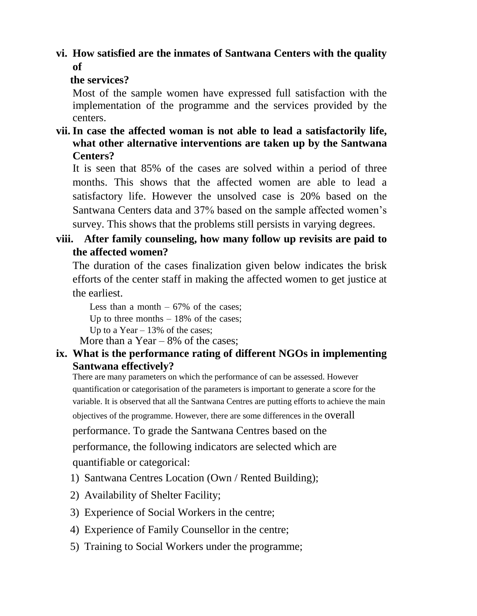### **vi. How satisfied are the inmates of Santwana Centers with the quality of**

#### **the services?**

Most of the sample women have expressed full satisfaction with the implementation of the programme and the services provided by the centers.

### **vii. In case the affected woman is not able to lead a satisfactorily life, what other alternative interventions are taken up by the Santwana Centers?**

It is seen that 85% of the cases are solved within a period of three months. This shows that the affected women are able to lead a satisfactory life. However the unsolved case is 20% based on the Santwana Centers data and 37% based on the sample affected women's survey. This shows that the problems still persists in varying degrees.

# **viii. After family counseling, how many follow up revisits are paid to the affected women?**

The duration of the cases finalization given below indicates the brisk efforts of the center staff in making the affected women to get justice at the earliest.

Less than a month  $-67\%$  of the cases; Up to three months  $-18\%$  of the cases; Up to a Year  $-13\%$  of the cases:

More than a Year  $-8\%$  of the cases;

### **ix. What is the performance rating of different NGOs in implementing Santwana effectively?**

There are many parameters on which the performance of can be assessed. However quantification or categorisation of the parameters is important to generate a score for the variable. It is observed that all the Santwana Centres are putting efforts to achieve the main

objectives of the programme. However, there are some differences in the overall

performance. To grade the Santwana Centres based on the

performance, the following indicators are selected which are quantifiable or categorical:

- 1) Santwana Centres Location (Own / Rented Building);
- 2) Availability of Shelter Facility;
- 3) Experience of Social Workers in the centre;
- 4) Experience of Family Counsellor in the centre;
- 5) Training to Social Workers under the programme;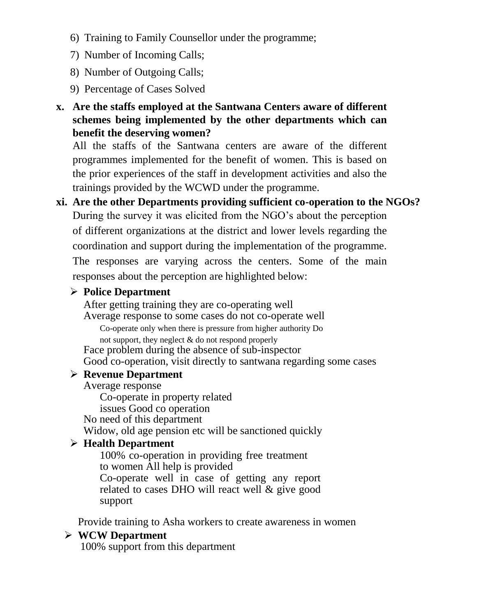- 6) Training to Family Counsellor under the programme;
- 7) Number of Incoming Calls;
- 8) Number of Outgoing Calls;
- 9) Percentage of Cases Solved
- **x. Are the staffs employed at the Santwana Centers aware of different schemes being implemented by the other departments which can benefit the deserving women?**

All the staffs of the Santwana centers are aware of the different programmes implemented for the benefit of women. This is based on the prior experiences of the staff in development activities and also the trainings provided by the WCWD under the programme.

**xi. Are the other Departments providing sufficient co-operation to the NGOs?**  During the survey it was elicited from the NGO's about the perception of different organizations at the district and lower levels regarding the coordination and support during the implementation of the programme. The responses are varying across the centers. Some of the main responses about the perception are highlighted below:

### **Police Department**

After getting training they are co-operating well Average response to some cases do not co-operate well Co-operate only when there is pressure from higher authority Do

not support, they neglect & do not respond properly

Face problem during the absence of sub-inspector Good co-operation, visit directly to santwana regarding some cases

#### **Revenue Department**

Average response

Co-operate in property related

issues Good co operation

No need of this department

Widow, old age pension etc will be sanctioned quickly

# **Health Department**

100% co-operation in providing free treatment to women All help is provided Co-operate well in case of getting any report related to cases DHO will react well  $\&$  give good support

Provide training to Asha workers to create awareness in women

### **WCW Department**

100% support from this department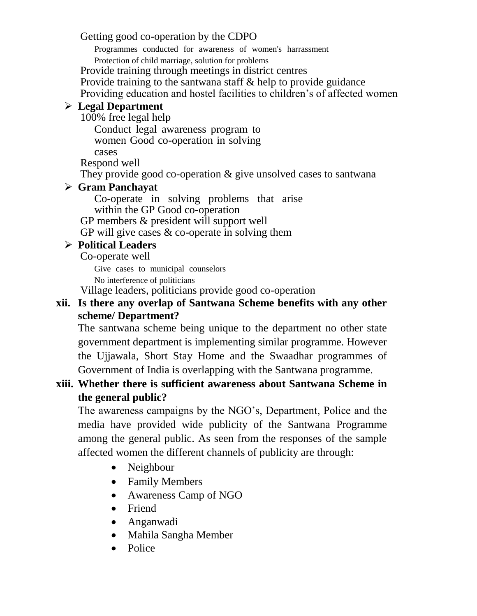Getting good co-operation by the CDPO

Programmes conducted for awareness of women's harrassment

Protection of child marriage, solution for problems

Provide training through meetings in district centres

Provide training to the santwana staff & help to provide guidance

Providing education and hostel facilities to children's of affected women

# **Legal Department**

100% free legal help

Conduct legal awareness program to women Good co-operation in solving cases

Respond well

They provide good co-operation & give unsolved cases to santwana

# **Gram Panchayat**

Co-operate in solving problems that arise within the GP Good co-operation

GP members & president will support well

GP will give cases & co-operate in solving them

# **Political Leaders**

Co-operate well

Give cases to municipal counselors No interference of politicians

Village leaders, politicians provide good co-operation

### **xii. Is there any overlap of Santwana Scheme benefits with any other scheme/ Department?**

The santwana scheme being unique to the department no other state government department is implementing similar programme. However the Ujjawala, Short Stay Home and the Swaadhar programmes of Government of India is overlapping with the Santwana programme.

# **xiii. Whether there is sufficient awareness about Santwana Scheme in the general public?**

The awareness campaigns by the NGO's, Department, Police and the media have provided wide publicity of the Santwana Programme among the general public. As seen from the responses of the sample affected women the different channels of publicity are through:

- Neighbour
- Family Members
- Awareness Camp of NGO
- Friend
- Anganwadi
- Mahila Sangha Member
- Police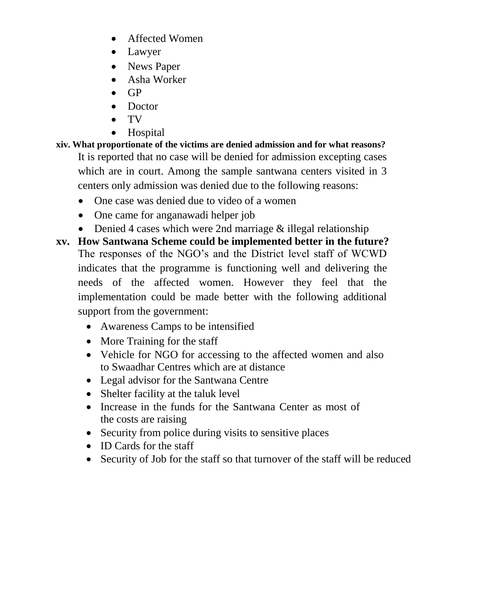- Affected Women
- Lawyer
- News Paper
- Asha Worker
- GP
- Doctor
- TV
- Hospital
- **xiv. What proportionate of the victims are denied admission and for what reasons?**  It is reported that no case will be denied for admission excepting cases which are in court. Among the sample santwana centers visited in 3 centers only admission was denied due to the following reasons:
	- One case was denied due to video of a women
	- One came for anganawadi helper job
	- Denied 4 cases which were 2nd marriage & illegal relationship
- **xv. How Santwana Scheme could be implemented better in the future?**  The responses of the NGO's and the District level staff of WCWD indicates that the programme is functioning well and delivering the needs of the affected women. However they feel that the implementation could be made better with the following additional support from the government:
	- Awareness Camps to be intensified
	- More Training for the staff
	- Vehicle for NGO for accessing to the affected women and also to Swaadhar Centres which are at distance
	- Legal advisor for the Santwana Centre
	- Shelter facility at the taluk level
	- Increase in the funds for the Santwana Center as most of the costs are raising
	- Security from police during visits to sensitive places
	- ID Cards for the staff
	- Security of Job for the staff so that turnover of the staff will be reduced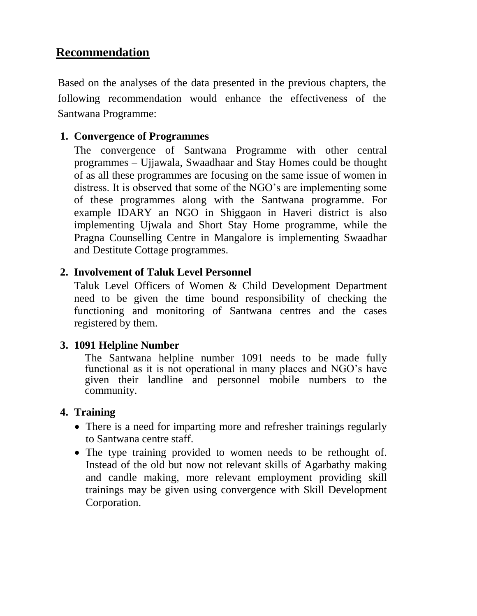# **Recommendation**

Based on the analyses of the data presented in the previous chapters, the following recommendation would enhance the effectiveness of the Santwana Programme:

### **1. Convergence of Programmes**

The convergence of Santwana Programme with other central programmes – Ujjawala, Swaadhaar and Stay Homes could be thought of as all these programmes are focusing on the same issue of women in distress. It is observed that some of the NGO's are implementing some of these programmes along with the Santwana programme. For example IDARY an NGO in Shiggaon in Haveri district is also implementing Ujwala and Short Stay Home programme, while the Pragna Counselling Centre in Mangalore is implementing Swaadhar and Destitute Cottage programmes.

### **2. Involvement of Taluk Level Personnel**

Taluk Level Officers of Women & Child Development Department need to be given the time bound responsibility of checking the functioning and monitoring of Santwana centres and the cases registered by them.

#### **3. 1091 Helpline Number**

The Santwana helpline number 1091 needs to be made fully functional as it is not operational in many places and NGO's have given their landline and personnel mobile numbers to the community.

### **4. Training**

- There is a need for imparting more and refresher trainings regularly to Santwana centre staff.
- The type training provided to women needs to be rethought of. Instead of the old but now not relevant skills of Agarbathy making and candle making, more relevant employment providing skill trainings may be given using convergence with Skill Development Corporation.